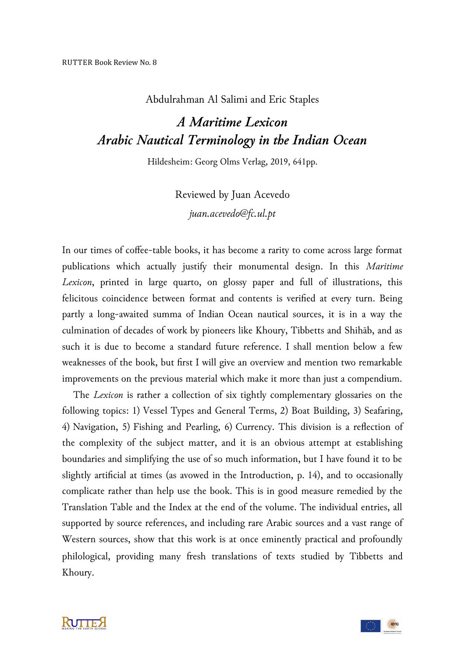Abdulrahman Al Salimi and Eric Staples

## *A Maritime Lexicon Arabic Nautical Terminology in the Indian Ocean*

Hildesheim: Georg Olms Verlag, 2019, 641pp.

Reviewed by Juan Acevedo *juan.acevedo@fc.ul.pt*

In our times of coffee-table books, it has become a rarity to come across large format publications which actually justify their monumental design. In this *Maritime Lexicon*, printed in large quarto, on glossy paper and full of illustrations, this felicitous coincidence between format and contents is verified at every turn. Being partly a long-awaited summa of Indian Ocean nautical sources, it is in a way the culmination of decades of work by pioneers like Khoury, Tibbetts and Shihāb, and as such it is due to become a standard future reference. I shall mention below a few weaknesses of the book, but first I will give an overview and mention two remarkable improvements on the previous material which make it more than just a compendium.

 The *Lexicon* is rather a collection of six tightly complementary glossaries on the following topics: 1) Vessel Types and General Terms, 2) Boat Building, 3) Seafaring, 4) Navigation, 5) Fishing and Pearling, 6) Currency. This division is a reflection of the complexity of the subject matter, and it is an obvious attempt at establishing boundaries and simplifying the use of so much information, but I have found it to be slightly artificial at times (as avowed in the Introduction, p. 14), and to occasionally complicate rather than help use the book. This is in good measure remedied by the Translation Table and the Index at the end of the volume. The individual entries, all supported by source references, and including rare Arabic sources and a vast range of Western sources, show that this work is at once eminently practical and profoundly philological, providing many fresh translations of texts studied by Tibbetts and Khoury.



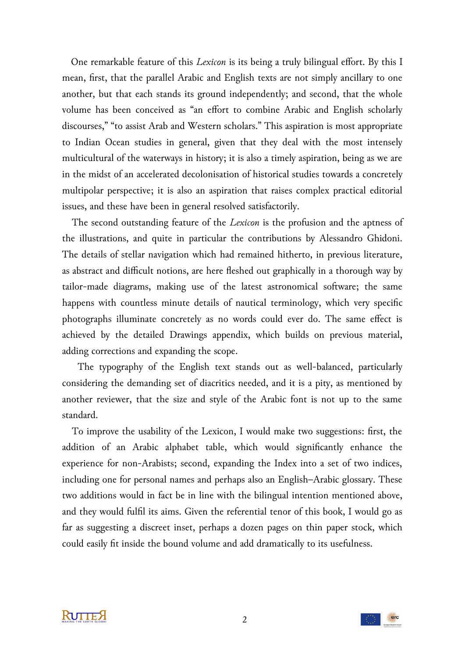One remarkable feature of this *Lexicon* is its being a truly bilingual effort. By this I mean, first, that the parallel Arabic and English texts are not simply ancillary to one another, but that each stands its ground independently; and second, that the whole volume has been conceived as "an effort to combine Arabic and English scholarly discourses," "to assist Arab and Western scholars." This aspiration is most appropriate to Indian Ocean studies in general, given that they deal with the most intensely multicultural of the waterways in history; it is also a timely aspiration, being as we are in the midst of an accelerated decolonisation of historical studies towards a concretely multipolar perspective; it is also an aspiration that raises complex practical editorial issues, and these have been in general resolved satisfactorily.

 The second outstanding feature of the *Lexicon* is the profusion and the aptness of the illustrations, and quite in particular the contributions by Alessandro Ghidoni. The details of stellar navigation which had remained hitherto, in previous literature, as abstract and difficult notions, are here fleshed out graphically in a thorough way by tailor-made diagrams, making use of the latest astronomical software; the same happens with countless minute details of nautical terminology, which very specific photographs illuminate concretely as no words could ever do. The same effect is achieved by the detailed Drawings appendix, which builds on previous material, adding corrections and expanding the scope.

 The typography of the English text stands out as well-balanced, particularly considering the demanding set of diacritics needed, and it is a pity, as mentioned by another reviewer, that the size and style of the Arabic font is not up to the same standard.

 To improve the usability of the Lexicon, I would make two suggestions: first, the addition of an Arabic alphabet table, which would significantly enhance the experience for non-Arabists; second, expanding the Index into a set of two indices, including one for personal names and perhaps also an English–Arabic glossary. These two additions would in fact be in line with the bilingual intention mentioned above, and they would fulfil its aims. Given the referential tenor of this book, I would go as far as suggesting a discreet inset, perhaps a dozen pages on thin paper stock, which could easily fit inside the bound volume and add dramatically to its usefulness.